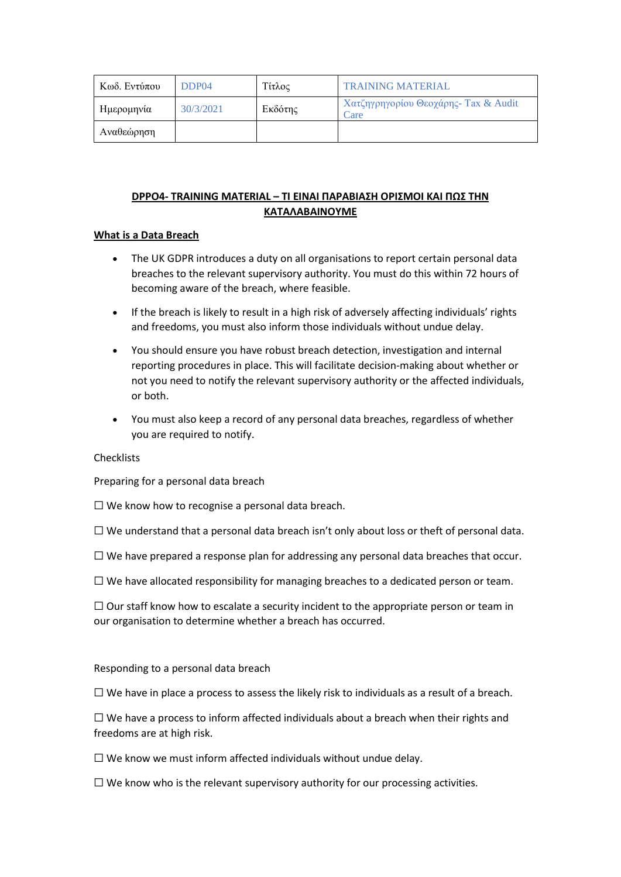| Κωδ. Εντύπου | DDP04     | Τίτλος  | <b>TRAINING MATERIAL</b>                      |
|--------------|-----------|---------|-----------------------------------------------|
| Ημερομηνία   | 30/3/2021 | Εκδότης | Χατζηγρηγορίου Θεοχάρης- Tax & Audit<br>'Care |
| Αναθεώρηση   |           |         |                                               |

## **DPPO4- TRAINING MATERIAL – ΤΙ ΕΙΝΑΙ ΠΑΡΑΒΙΑΣΗ ΟΡΙΣΜΟΙ ΚΑΙ ΠΩΣ ΤΗΝ ΚΑΤΑΛΑΒΑΙΝΟΥΜΕ**

#### **What is a Data Breach**

- The UK GDPR introduces a duty on all organisations to report certain personal data breaches to the relevant supervisory authority. You must do this within 72 hours of becoming aware of the breach, where feasible.
- If the breach is likely to result in a high risk of adversely affecting individuals' rights and freedoms, you must also inform those individuals without undue delay.
- You should ensure you have robust breach detection, investigation and internal reporting procedures in place. This will facilitate decision-making about whether or not you need to notify the relevant supervisory authority or the affected individuals, or both.
- You must also keep a record of any personal data breaches, regardless of whether you are required to notify.

#### Checklists

Preparing for a personal data breach

 $\Box$  We know how to recognise a personal data breach.

 $\Box$  We understand that a personal data breach isn't only about loss or theft of personal data.

 $\Box$  We have prepared a response plan for addressing any personal data breaches that occur.

☐ We have allocated responsibility for managing breaches to a dedicated person or team.

 $\Box$  Our staff know how to escalate a security incident to the appropriate person or team in our organisation to determine whether a breach has occurred.

Responding to a personal data breach

 $\square$  We have in place a process to assess the likely risk to individuals as a result of a breach.

 $\Box$  We have a process to inform affected individuals about a breach when their rights and freedoms are at high risk.

 $\Box$  We know we must inform affected individuals without undue delay.

 $\Box$  We know who is the relevant supervisory authority for our processing activities.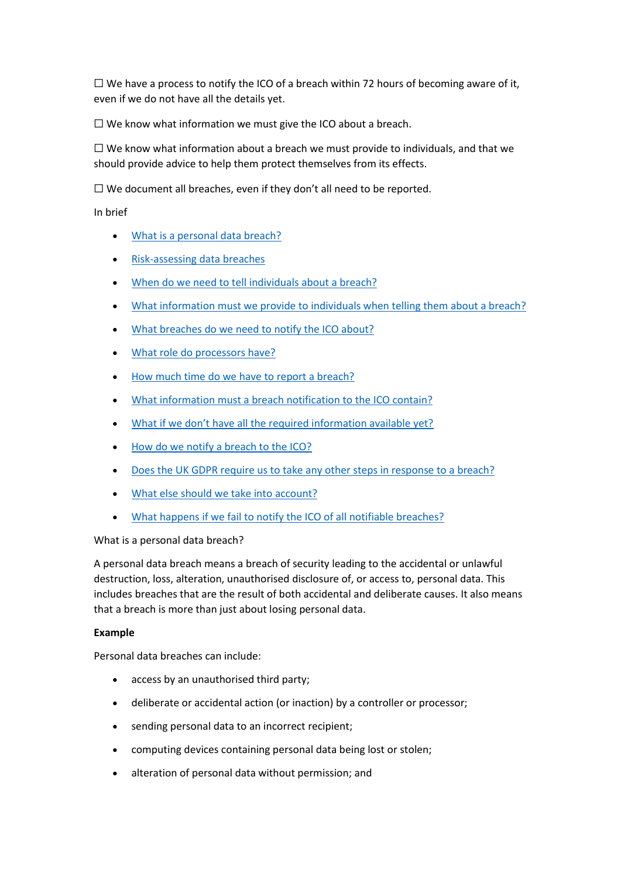$\Box$  We have a process to notify the ICO of a breach within 72 hours of becoming aware of it, even if we do not have all the details yet.

 $\Box$  We know what information we must give the ICO about a breach.

 $\Box$  We know what information about a breach we must provide to individuals, and that we should provide advice to help them protect themselves from its effects.

 $\Box$  We document all breaches, even if they don't all need to be reported.

In brief

- [What is a personal data breach?](https://ico.org.uk/for-organisations/guide-to-data-protection/guide-to-the-general-data-protection-regulation-gdpr/personal-data-breaches/#whatisa)
- [Risk-assessing data breaches](https://ico.org.uk/for-organisations/guide-to-data-protection/guide-to-the-general-data-protection-regulation-gdpr/personal-data-breaches/#riskassessingdata)
- [When do we need to tell individuals about a breach?](https://ico.org.uk/for-organisations/guide-to-data-protection/guide-to-the-general-data-protection-regulation-gdpr/personal-data-breaches/#whendowe)
- [What information must we provide to individuals when telling them about a breach?](https://ico.org.uk/for-organisations/guide-to-data-protection/guide-to-the-general-data-protection-regulation-gdpr/personal-data-breaches/#whatinformationmust)
- [What breaches do we need to notify the ICO about?](https://ico.org.uk/for-organisations/guide-to-data-protection/guide-to-the-general-data-protection-regulation-gdpr/personal-data-breaches/#whatbreachesdo)
- [What role do processors have?](https://ico.org.uk/for-organisations/guide-to-data-protection/guide-to-the-general-data-protection-regulation-gdpr/personal-data-breaches/#whatroledo)
- [How much time do we have to report a breach?](https://ico.org.uk/for-organisations/guide-to-data-protection/guide-to-the-general-data-protection-regulation-gdpr/personal-data-breaches/#howmuchtime)
- [What information must a breach notification to the ICO contain?](https://ico.org.uk/for-organisations/guide-to-data-protection/guide-to-the-general-data-protection-regulation-gdpr/personal-data-breaches/#authority)
- [What if we don't have all the required information available yet?](https://ico.org.uk/for-organisations/guide-to-data-protection/guide-to-the-general-data-protection-regulation-gdpr/personal-data-breaches/#whatifwe)
- [How do we notify a breach to the ICO?](https://ico.org.uk/for-organisations/guide-to-data-protection/guide-to-the-general-data-protection-regulation-gdpr/personal-data-breaches/#howdowe)
- [Does the UK GDPR require us to take any other steps in response to a breach?](https://ico.org.uk/for-organisations/guide-to-data-protection/guide-to-the-general-data-protection-regulation-gdpr/personal-data-breaches/#doestheukgdpr)
- [What else should we take into account?](https://ico.org.uk/for-organisations/guide-to-data-protection/guide-to-the-general-data-protection-regulation-gdpr/personal-data-breaches/#whatelseshould)
- [What happens if we fail to notify the ICO of all notifiable breaches?](https://ico.org.uk/for-organisations/guide-to-data-protection/guide-to-the-general-data-protection-regulation-gdpr/personal-data-breaches/#whathappensif)

#### What is a personal data breach?

A personal data breach means a breach of security leading to the accidental or unlawful destruction, loss, alteration, unauthorised disclosure of, or access to, personal data. This includes breaches that are the result of both accidental and deliberate causes. It also means that a breach is more than just about losing personal data.

#### **Example**

Personal data breaches can include:

- access by an unauthorised third party;
- deliberate or accidental action (or inaction) by a controller or processor;
- sending personal data to an incorrect recipient;
- computing devices containing personal data being lost or stolen;
- alteration of personal data without permission; and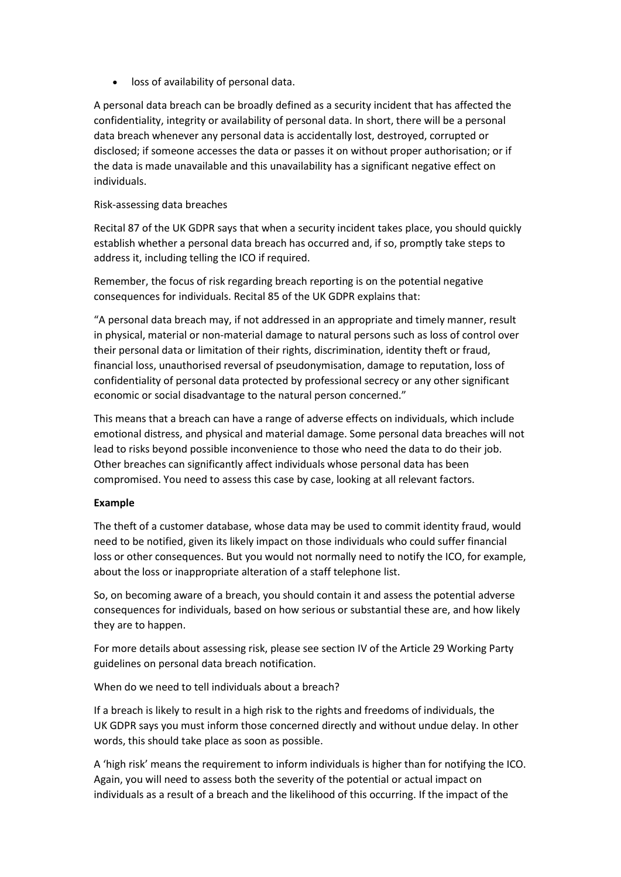• loss of availability of personal data.

A personal data breach can be broadly defined as a security incident that has affected the confidentiality, integrity or availability of personal data. In short, there will be a personal data breach whenever any personal data is accidentally lost, destroyed, corrupted or disclosed; if someone accesses the data or passes it on without proper authorisation; or if the data is made unavailable and this unavailability has a significant negative effect on individuals.

#### Risk-assessing data breaches

Recital 87 of the UK GDPR says that when a security incident takes place, you should quickly establish whether a personal data breach has occurred and, if so, promptly take steps to address it, including telling the ICO if required.

Remember, the focus of risk regarding breach reporting is on the potential negative consequences for individuals. Recital 85 of the UK GDPR explains that:

"A personal data breach may, if not addressed in an appropriate and timely manner, result in physical, material or non-material damage to natural persons such as loss of control over their personal data or limitation of their rights, discrimination, identity theft or fraud, financial loss, unauthorised reversal of pseudonymisation, damage to reputation, loss of confidentiality of personal data protected by professional secrecy or any other significant economic or social disadvantage to the natural person concerned."

This means that a breach can have a range of adverse effects on individuals, which include emotional distress, and physical and material damage. Some personal data breaches will not lead to risks beyond possible inconvenience to those who need the data to do their job. Other breaches can significantly affect individuals whose personal data has been compromised. You need to assess this case by case, looking at all relevant factors.

## **Example**

The theft of a customer database, whose data may be used to commit identity fraud, would need to be notified, given its likely impact on those individuals who could suffer financial loss or other consequences. But you would not normally need to notify the ICO, for example, about the loss or inappropriate alteration of a staff telephone list.

So, on becoming aware of a breach, you should contain it and assess the potential adverse consequences for individuals, based on how serious or substantial these are, and how likely they are to happen.

For more details about assessing risk, please see section IV of the Article 29 Working Party guidelines on personal data breach notification.

When do we need to tell individuals about a breach?

If a breach is likely to result in a high risk to the rights and freedoms of individuals, the UK GDPR says you must inform those concerned directly and without undue delay. In other words, this should take place as soon as possible.

A 'high risk' means the requirement to inform individuals is higher than for notifying the ICO. Again, you will need to assess both the severity of the potential or actual impact on individuals as a result of a breach and the likelihood of this occurring. If the impact of the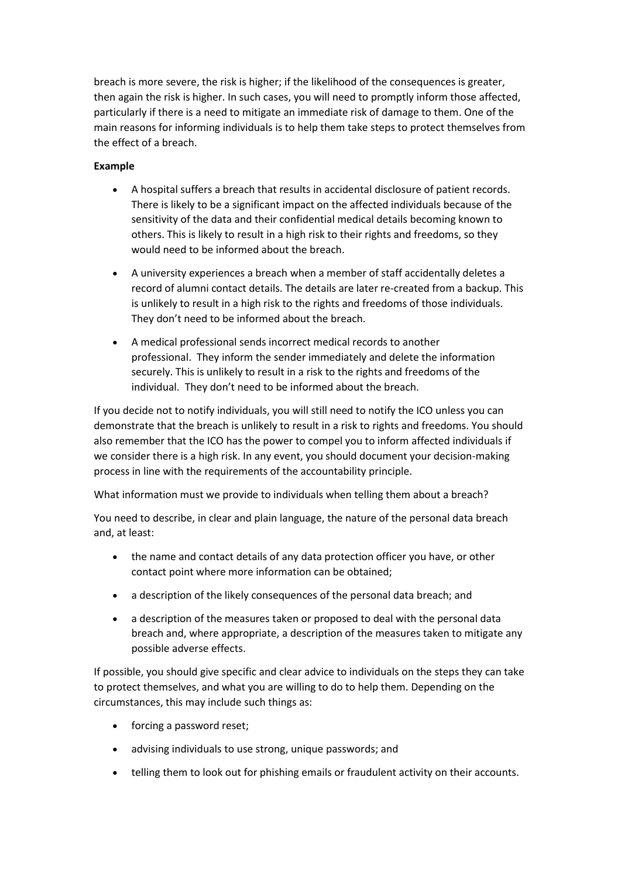breach is more severe, the risk is higher; if the likelihood of the consequences is greater, then again the risk is higher. In such cases, you will need to promptly inform those affected, particularly if there is a need to mitigate an immediate risk of damage to them. One of the main reasons for informing individuals is to help them take steps to protect themselves from the effect of a breach.

## **Example**

- A hospital suffers a breach that results in accidental disclosure of patient records. There is likely to be a significant impact on the affected individuals because of the sensitivity of the data and their confidential medical details becoming known to others. This is likely to result in a high risk to their rights and freedoms, so they would need to be informed about the breach.
- A university experiences a breach when a member of staff accidentally deletes a record of alumni contact details. The details are later re-created from a backup. This is unlikely to result in a high risk to the rights and freedoms of those individuals. They don't need to be informed about the breach.
- A medical professional sends incorrect medical records to another professional. They inform the sender immediately and delete the information securely. This is unlikely to result in a risk to the rights and freedoms of the individual. They don't need to be informed about the breach.

If you decide not to notify individuals, you will still need to notify the ICO unless you can demonstrate that the breach is unlikely to result in a risk to rights and freedoms. You should also remember that the ICO has the power to compel you to inform affected individuals if we consider there is a high risk. In any event, you should document your decision-making process in line with the requirements of the accountability principle.

What information must we provide to individuals when telling them about a breach?

You need to describe, in clear and plain language, the nature of the personal data breach and, at least:

- the name and contact details of any data protection officer you have, or other contact point where more information can be obtained;
- a description of the likely consequences of the personal data breach; and
- a description of the measures taken or proposed to deal with the personal data breach and, where appropriate, a description of the measures taken to mitigate any possible adverse effects.

If possible, you should give specific and clear advice to individuals on the steps they can take to protect themselves, and what you are willing to do to help them. Depending on the circumstances, this may include such things as:

- forcing a password reset;
- advising individuals to use strong, unique passwords; and
- telling them to look out for phishing emails or fraudulent activity on their accounts.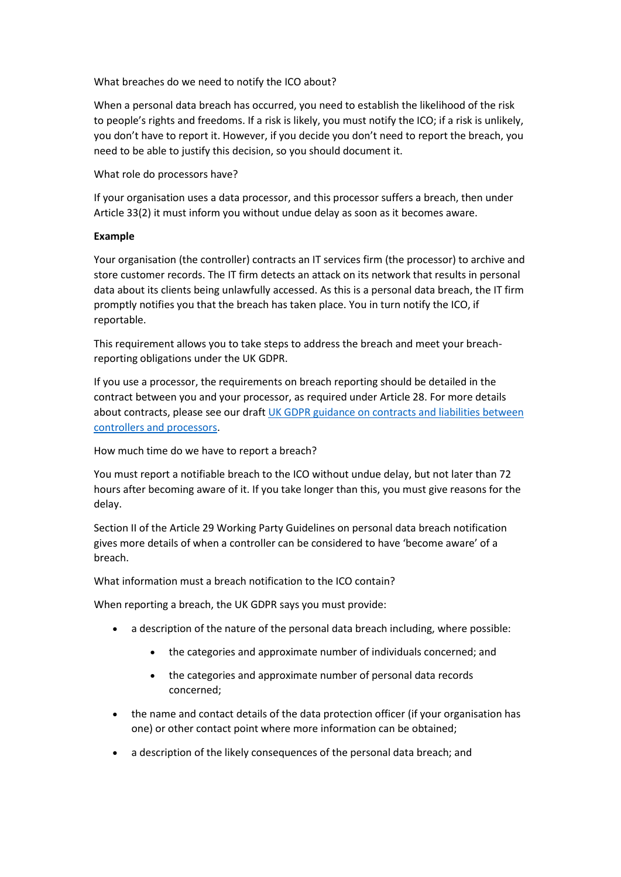What breaches do we need to notify the ICO about?

When a personal data breach has occurred, you need to establish the likelihood of the risk to people's rights and freedoms. If a risk is likely, you must notify the ICO; if a risk is unlikely, you don't have to report it. However, if you decide you don't need to report the breach, you need to be able to justify this decision, so you should document it.

## What role do processors have?

If your organisation uses a data processor, and this processor suffers a breach, then under Article 33(2) it must inform you without undue delay as soon as it becomes aware.

#### **Example**

Your organisation (the controller) contracts an IT services firm (the processor) to archive and store customer records. The IT firm detects an attack on its network that results in personal data about its clients being unlawfully accessed. As this is a personal data breach, the IT firm promptly notifies you that the breach has taken place. You in turn notify the ICO, if reportable.

This requirement allows you to take steps to address the breach and meet your breachreporting obligations under the UK GDPR.

If you use a processor, the requirements on breach reporting should be detailed in the contract between you and your processor, as required under Article 28. For more details about contracts, please see our draft UK GDPR guidance on contracts and liabilities between [controllers and processors.](https://ico.org.uk/media/about-the-ico/consultations/2014789/draft-gdpr-contracts-guidance-v1-for-consultation-september-2017.pdf)

How much time do we have to report a breach?

You must report a notifiable breach to the ICO without undue delay, but not later than 72 hours after becoming aware of it. If you take longer than this, you must give reasons for the delay.

Section II of the Article 29 Working Party Guidelines on personal data breach notification gives more details of when a controller can be considered to have 'become aware' of a breach.

What information must a breach notification to the ICO contain?

When reporting a breach, the UK GDPR says you must provide:

- a description of the nature of the personal data breach including, where possible:
	- the categories and approximate number of individuals concerned; and
	- the categories and approximate number of personal data records concerned;
- the name and contact details of the data protection officer (if your organisation has one) or other contact point where more information can be obtained;
- a description of the likely consequences of the personal data breach; and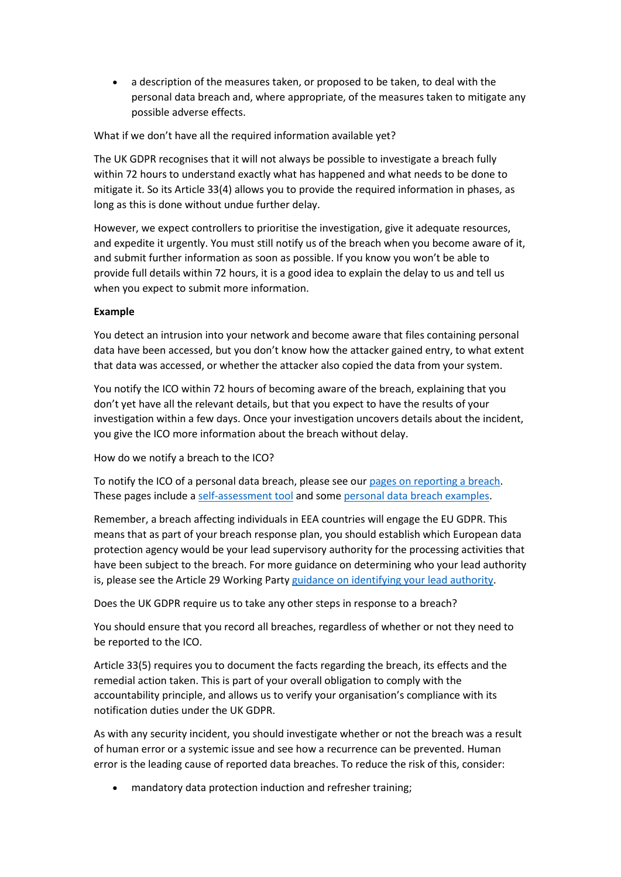• a description of the measures taken, or proposed to be taken, to deal with the personal data breach and, where appropriate, of the measures taken to mitigate any possible adverse effects.

What if we don't have all the required information available yet?

The UK GDPR recognises that it will not always be possible to investigate a breach fully within 72 hours to understand exactly what has happened and what needs to be done to mitigate it. So its Article 33(4) allows you to provide the required information in phases, as long as this is done without undue further delay.

However, we expect controllers to prioritise the investigation, give it adequate resources, and expedite it urgently. You must still notify us of the breach when you become aware of it, and submit further information as soon as possible. If you know you won't be able to provide full details within 72 hours, it is a good idea to explain the delay to us and tell us when you expect to submit more information.

## **Example**

You detect an intrusion into your network and become aware that files containing personal data have been accessed, but you don't know how the attacker gained entry, to what extent that data was accessed, or whether the attacker also copied the data from your system.

You notify the ICO within 72 hours of becoming aware of the breach, explaining that you don't yet have all the relevant details, but that you expect to have the results of your investigation within a few days. Once your investigation uncovers details about the incident, you give the ICO more information about the breach without delay.

How do we notify a breach to the ICO?

To notify the ICO of a personal data breach, please see our [pages on reporting a breach.](https://ico.org.uk/for-organisations/report-a-breach/) These pages include a [self-assessment tool](https://ico.org.uk/for-organisations/report-a-breach/personal-data-breach-assessment/) and some [personal data breach examples.](https://ico.org.uk/for-organisations/report-a-breach/personal-data-breach/personal-data-breach-examples/)

Remember, a breach affecting individuals in EEA countries will engage the EU GDPR. This means that as part of your breach response plan, you should establish which European data protection agency would be your lead supervisory authority for the processing activities that have been subject to the breach. For more guidance on determining who your lead authority is, please see the Article 29 Working Party [guidance on identifying your lead authority.](http://ec.europa.eu/newsroom/document.cfm?doc_id=44102)

Does the UK GDPR require us to take any other steps in response to a breach?

You should ensure that you record all breaches, regardless of whether or not they need to be reported to the ICO.

Article 33(5) requires you to document the facts regarding the breach, its effects and the remedial action taken. This is part of your overall obligation to comply with the accountability principle, and allows us to verify your organisation's compliance with its notification duties under the UK GDPR.

As with any security incident, you should investigate whether or not the breach was a result of human error or a systemic issue and see how a recurrence can be prevented. Human error is the leading cause of reported data breaches. To reduce the risk of this, consider:

mandatory data protection induction and refresher training;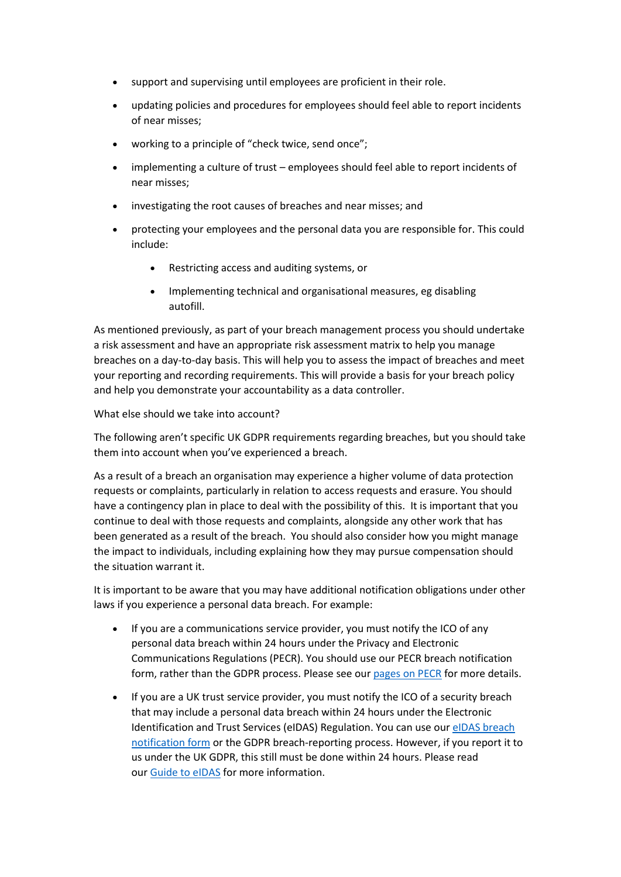- support and supervising until employees are proficient in their role.
- updating policies and procedures for employees should feel able to report incidents of near misses;
- working to a principle of "check twice, send once":
- implementing a culture of trust employees should feel able to report incidents of near misses;
- investigating the root causes of breaches and near misses; and
- protecting your employees and the personal data you are responsible for. This could include:
	- Restricting access and auditing systems, or
	- Implementing technical and organisational measures, eg disabling autofill.

As mentioned previously, as part of your breach management process you should undertake a risk assessment and have an appropriate risk assessment matrix to help you manage breaches on a day-to-day basis. This will help you to assess the impact of breaches and meet your reporting and recording requirements. This will provide a basis for your breach policy and help you demonstrate your accountability as a data controller.

#### What else should we take into account?

The following aren't specific UK GDPR requirements regarding breaches, but you should take them into account when you've experienced a breach.

As a result of a breach an organisation may experience a higher volume of data protection requests or complaints, particularly in relation to access requests and erasure. You should have a contingency plan in place to deal with the possibility of this. It is important that you continue to deal with those requests and complaints, alongside any other work that has been generated as a result of the breach. You should also consider how you might manage the impact to individuals, including explaining how they may pursue compensation should the situation warrant it.

It is important to be aware that you may have additional notification obligations under other laws if you experience a personal data breach. For example:

- If you are a communications service provider, you must notify the ICO of any personal data breach within 24 hours under the Privacy and Electronic Communications Regulations (PECR). You should use our PECR breach notification form, rather than the GDPR process. Please see our [pages on PECR](https://ico.org.uk/for-organisations/guide-to-pecr/) for more details.
- If you are a UK trust service provider, you must notify the ICO of a security breach that may include a personal data breach within 24 hours under the Electronic Identification and Trust Services (eIDAS) Regulation. You can use our [eIDAS breach](https://ico.org.uk/media/for-organisations/forms/2172646/eidas-regulations-breach-notification-form.docx)  [notification form](https://ico.org.uk/media/for-organisations/forms/2172646/eidas-regulations-breach-notification-form.docx) or the GDPR breach-reporting process. However, if you report it to us under the UK GDPR, this still must be done within 24 hours. Please read our [Guide to eIDAS](https://ico.org.uk/for-organisations/guide-to-eidas/) for more information.